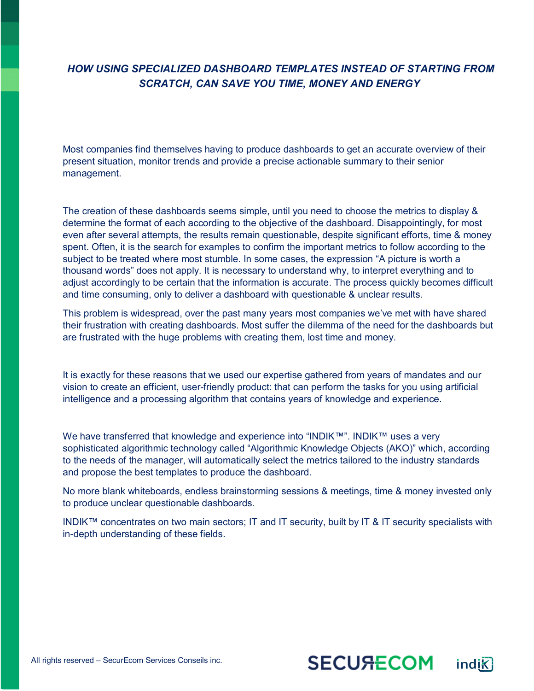## *HOW USING SPECIALIZED DASHBOARD TEMPLATES INSTEAD OF STARTING FROM SCRATCH, CAN SAVE YOU TIME, MONEY AND ENERGY*

Most companies find themselves having to produce dashboards to get an accurate overview of their present situation, monitor trends and provide a precise actionable summary to their senior management.

The creation of these dashboards seems simple, until you need to choose the metrics to display & determine the format of each according to the objective of the dashboard. Disappointingly, for most even after several attempts, the results remain questionable, despite significant efforts, time & money spent. Often, it is the search for examples to confirm the important metrics to follow according to the subject to be treated where most stumble. In some cases, the expression "A picture is worth a thousand words" does not apply. It is necessary to understand why, to interpret everything and to adjust accordingly to be certain that the information is accurate. The process quickly becomes difficult and time consuming, only to deliver a dashboard with questionable & unclear results.

This problem is widespread, over the past many years most companies we've met with have shared their frustration with creating dashboards. Most suffer the dilemma of the need for the dashboards but are frustrated with the huge problems with creating them, lost time and money.

It is exactly for these reasons that we used our expertise gathered from years of mandates and our vision to create an efficient, user-friendly product: that can perform the tasks for you using artificial intelligence and a processing algorithm that contains years of knowledge and experience.

We have transferred that knowledge and experience into "INDIK™". INDIK™ uses a very sophisticated algorithmic technology called "Algorithmic Knowledge Objects (AKO)" which, according to the needs of the manager, will automatically select the metrics tailored to the industry standards and propose the best templates to produce the dashboard.

No more blank whiteboards, endless brainstorming sessions & meetings, time & money invested only to produce unclear questionable dashboards.

INDIK™ concentrates on two main sectors; IT and IT security, built by IT & IT security specialists with in-depth understanding of these fields.

*™*

**SECU<del>RE</del>COM**